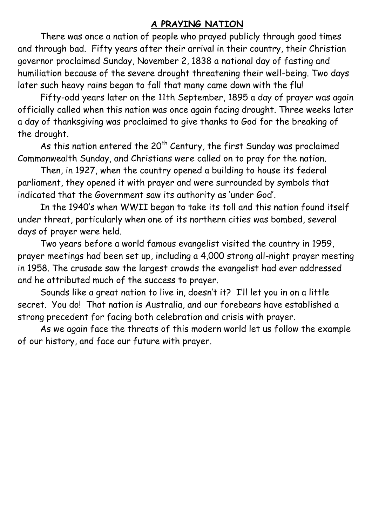## **A PRAYING NATION**

There was once a nation of people who prayed publicly through good times and through bad. Fifty years after their arrival in their country, their Christian governor proclaimed Sunday, November 2, 1838 a national day of fasting and humiliation because of the severe drought threatening their well-being. Two days later such heavy rains began to fall that many came down with the flu!

Fifty-odd years later on the 11th September, 1895 a day of prayer was again officially called when this nation was once again facing drought. Three weeks later a day of thanksgiving was proclaimed to give thanks to God for the breaking of the drought.

As this nation entered the  $20<sup>th</sup>$  Century, the first Sunday was proclaimed Commonwealth Sunday, and Christians were called on to pray for the nation.

Then, in 1927, when the country opened a building to house its federal parliament, they opened it with prayer and were surrounded by symbols that indicated that the Government saw its authority as 'under God'.

In the 1940's when WWII began to take its toll and this nation found itself under threat, particularly when one of its northern cities was bombed, several days of prayer were held.

Two years before a world famous evangelist visited the country in 1959, prayer meetings had been set up, including a 4,000 strong all-night prayer meeting in 1958. The crusade saw the largest crowds the evangelist had ever addressed and he attributed much of the success to prayer.

Sounds like a great nation to live in, doesn't it? I'll let you in on a little secret. You do! That nation is Australia, and our forebears have established a strong precedent for facing both celebration and crisis with prayer.

As we again face the threats of this modern world let us follow the example of our history, and face our future with prayer.